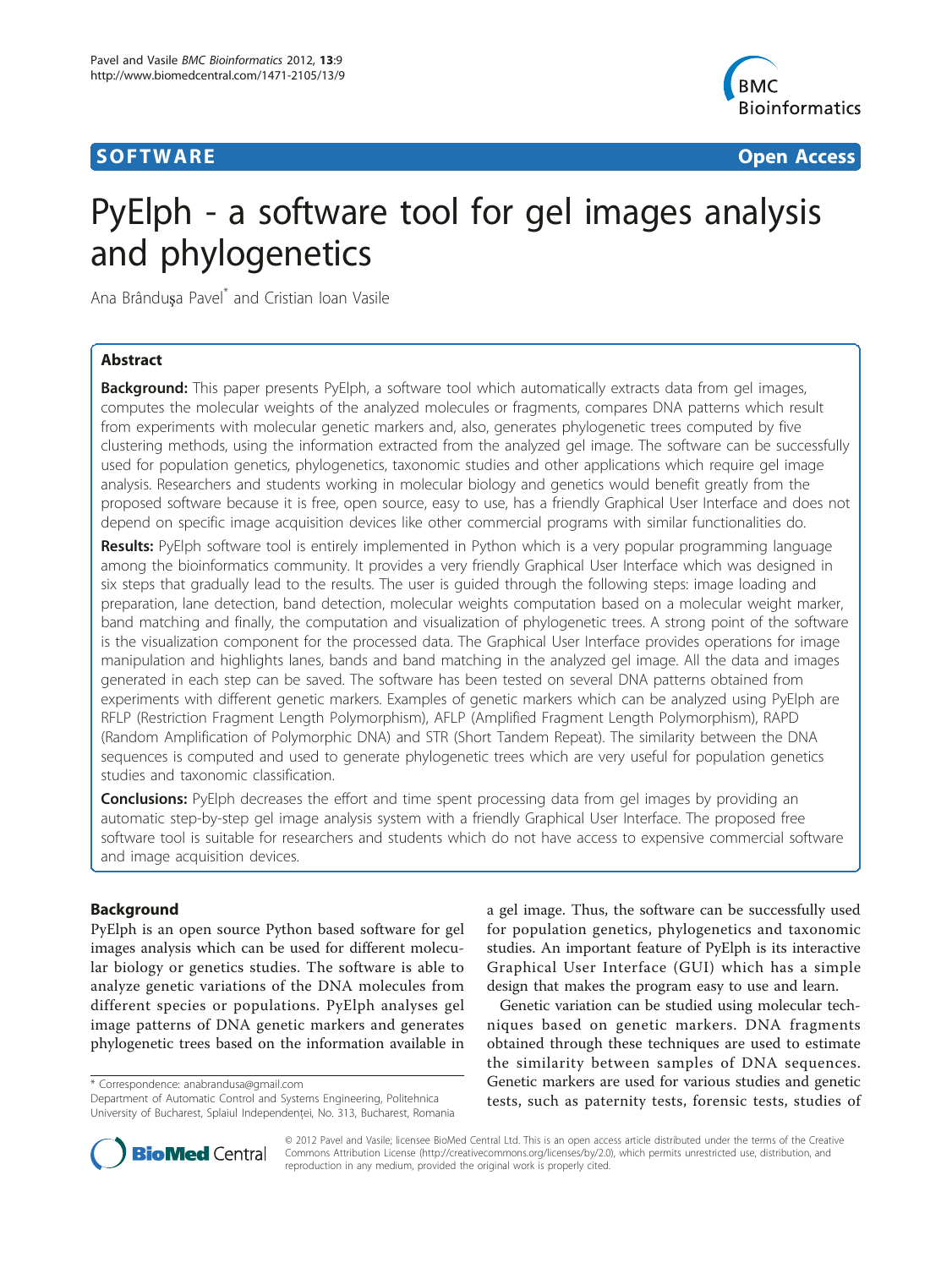# **SOFTWARE SOFTWARE** *CONSERVERSE EXECUTIVE EXECUTIVE EXECUTIVE EXECUTIVE EXECUTIVE EXECUTIVE EXECUTIVE EXECUTIVE EXECUTIVE EXECUTIVE EXECUTIVE EXECUTIVE EXECUTIVE EXECUTIVE EXECUTIVE EXECUTIVE EXECUTIVE EXECUTIVE EXECUT*



# PyElph - a software tool for gel images analysis and phylogenetics

Ana Brânduşa Pavel\* and Cristian Ioan Vasile

## Abstract

**Background:** This paper presents PyElph, a software tool which automatically extracts data from gel images, computes the molecular weights of the analyzed molecules or fragments, compares DNA patterns which result from experiments with molecular genetic markers and, also, generates phylogenetic trees computed by five clustering methods, using the information extracted from the analyzed gel image. The software can be successfully used for population genetics, phylogenetics, taxonomic studies and other applications which require gel image analysis. Researchers and students working in molecular biology and genetics would benefit greatly from the proposed software because it is free, open source, easy to use, has a friendly Graphical User Interface and does not depend on specific image acquisition devices like other commercial programs with similar functionalities do.

Results: PyElph software tool is entirely implemented in Python which is a very popular programming language among the bioinformatics community. It provides a very friendly Graphical User Interface which was designed in six steps that gradually lead to the results. The user is guided through the following steps: image loading and preparation, lane detection, band detection, molecular weights computation based on a molecular weight marker, band matching and finally, the computation and visualization of phylogenetic trees. A strong point of the software is the visualization component for the processed data. The Graphical User Interface provides operations for image manipulation and highlights lanes, bands and band matching in the analyzed gel image. All the data and images generated in each step can be saved. The software has been tested on several DNA patterns obtained from experiments with different genetic markers. Examples of genetic markers which can be analyzed using PyElph are RFLP (Restriction Fragment Length Polymorphism), AFLP (Amplified Fragment Length Polymorphism), RAPD (Random Amplification of Polymorphic DNA) and STR (Short Tandem Repeat). The similarity between the DNA sequences is computed and used to generate phylogenetic trees which are very useful for population genetics studies and taxonomic classification.

Conclusions: PyElph decreases the effort and time spent processing data from gel images by providing an automatic step-by-step gel image analysis system with a friendly Graphical User Interface. The proposed free software tool is suitable for researchers and students which do not have access to expensive commercial software and image acquisition devices.

## Background

PyElph is an open source Python based software for gel images analysis which can be used for different molecular biology or genetics studies. The software is able to analyze genetic variations of the DNA molecules from different species or populations. PyElph analyses gel image patterns of DNA genetic markers and generates phylogenetic trees based on the information available in

\* Correspondence: [anabrandusa@gmail.com](mailto:anabrandusa@gmail.com)

Department of Automatic Control and Systems Engineering, Politehnica University of Bucharest, Splaiul Independenţei, No. 313, Bucharest, Romania

a gel image. Thus, the software can be successfully used for population genetics, phylogenetics and taxonomic studies. An important feature of PyElph is its interactive Graphical User Interface (GUI) which has a simple design that makes the program easy to use and learn.

Genetic variation can be studied using molecular techniques based on genetic markers. DNA fragments obtained through these techniques are used to estimate the similarity between samples of DNA sequences. Genetic markers are used for various studies and genetic tests, such as paternity tests, forensic tests, studies of



© 2012 Pavel and Vasile; licensee BioMed Central Ltd. This is an open access article distributed under the terms of the Creative Commons Attribution License [\(http://creativecommons.org/licenses/by/2.0](http://creativecommons.org/licenses/by/2.0)), which permits unrestricted use, distribution, and reproduction in any medium, provided the original work is properly cited.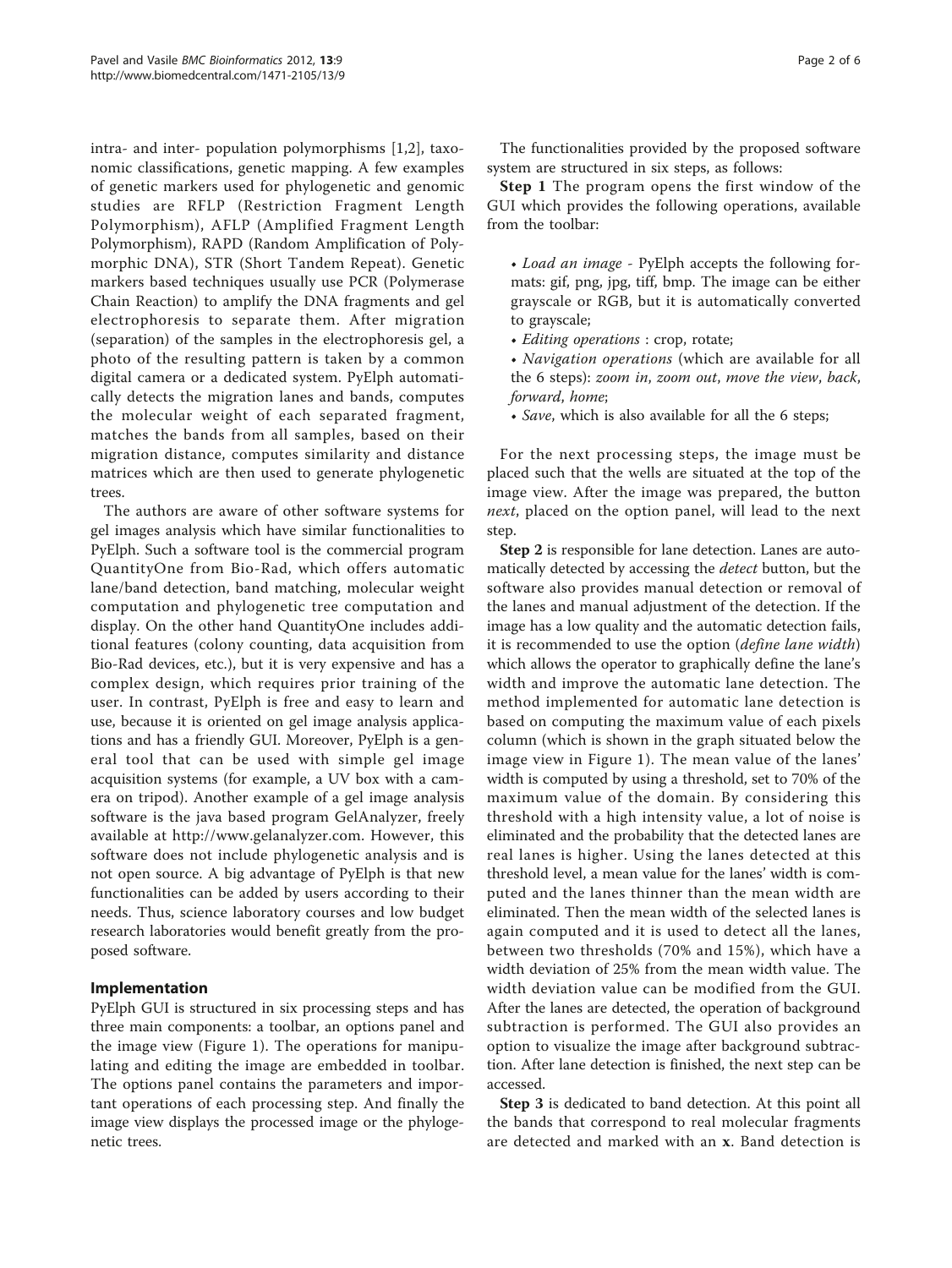intra- and inter- population polymorphisms [[1,2](#page-5-0)], taxonomic classifications, genetic mapping. A few examples of genetic markers used for phylogenetic and genomic studies are RFLP (Restriction Fragment Length Polymorphism), AFLP (Amplified Fragment Length Polymorphism), RAPD (Random Amplification of Polymorphic DNA), STR (Short Tandem Repeat). Genetic markers based techniques usually use PCR (Polymerase Chain Reaction) to amplify the DNA fragments and gel electrophoresis to separate them. After migration (separation) of the samples in the electrophoresis gel, a photo of the resulting pattern is taken by a common digital camera or a dedicated system. PyElph automatically detects the migration lanes and bands, computes the molecular weight of each separated fragment, matches the bands from all samples, based on their migration distance, computes similarity and distance matrices which are then used to generate phylogenetic trees.

The authors are aware of other software systems for gel images analysis which have similar functionalities to PyElph. Such a software tool is the commercial program QuantityOne from Bio-Rad, which offers automatic lane/band detection, band matching, molecular weight computation and phylogenetic tree computation and display. On the other hand QuantityOne includes additional features (colony counting, data acquisition from Bio-Rad devices, etc.), but it is very expensive and has a complex design, which requires prior training of the user. In contrast, PyElph is free and easy to learn and use, because it is oriented on gel image analysis applications and has a friendly GUI. Moreover, PyElph is a general tool that can be used with simple gel image acquisition systems (for example, a UV box with a camera on tripod). Another example of a gel image analysis software is the java based program GelAnalyzer, freely available at [http://www.gelanalyzer.com.](http://www.gelanalyzer.com) However, this software does not include phylogenetic analysis and is not open source. A big advantage of PyElph is that new functionalities can be added by users according to their needs. Thus, science laboratory courses and low budget research laboratories would benefit greatly from the proposed software.

## Implementation

PyElph GUI is structured in six processing steps and has three main components: a toolbar, an options panel and the image view (Figure [1\)](#page-2-0). The operations for manipulating and editing the image are embedded in toolbar. The options panel contains the parameters and important operations of each processing step. And finally the image view displays the processed image or the phylogenetic trees.

The functionalities provided by the proposed software system are structured in six steps, as follows:

Step 1 The program opens the first window of the GUI which provides the following operations, available from the toolbar:

• Load an image - PyElph accepts the following formats: gif, png, jpg, tiff, bmp. The image can be either grayscale or RGB, but it is automatically converted to grayscale;

• Editing operations : crop, rotate;

• Navigation operations (which are available for all the 6 steps): zoom in, zoom out, move the view, back, forward, home;

• Save, which is also available for all the 6 steps;

For the next processing steps, the image must be placed such that the wells are situated at the top of the image view. After the image was prepared, the button next, placed on the option panel, will lead to the next step.

Step 2 is responsible for lane detection. Lanes are automatically detected by accessing the *detect* button, but the software also provides manual detection or removal of the lanes and manual adjustment of the detection. If the image has a low quality and the automatic detection fails, it is recommended to use the option (define lane width) which allows the operator to graphically define the lane's width and improve the automatic lane detection. The method implemented for automatic lane detection is based on computing the maximum value of each pixels column (which is shown in the graph situated below the image view in Figure [1\)](#page-2-0). The mean value of the lanes' width is computed by using a threshold, set to 70% of the maximum value of the domain. By considering this threshold with a high intensity value, a lot of noise is eliminated and the probability that the detected lanes are real lanes is higher. Using the lanes detected at this threshold level, a mean value for the lanes' width is computed and the lanes thinner than the mean width are eliminated. Then the mean width of the selected lanes is again computed and it is used to detect all the lanes, between two thresholds (70% and 15%), which have a width deviation of 25% from the mean width value. The width deviation value can be modified from the GUI. After the lanes are detected, the operation of background subtraction is performed. The GUI also provides an option to visualize the image after background subtraction. After lane detection is finished, the next step can be accessed.

Step 3 is dedicated to band detection. At this point all the bands that correspond to real molecular fragments are detected and marked with an x. Band detection is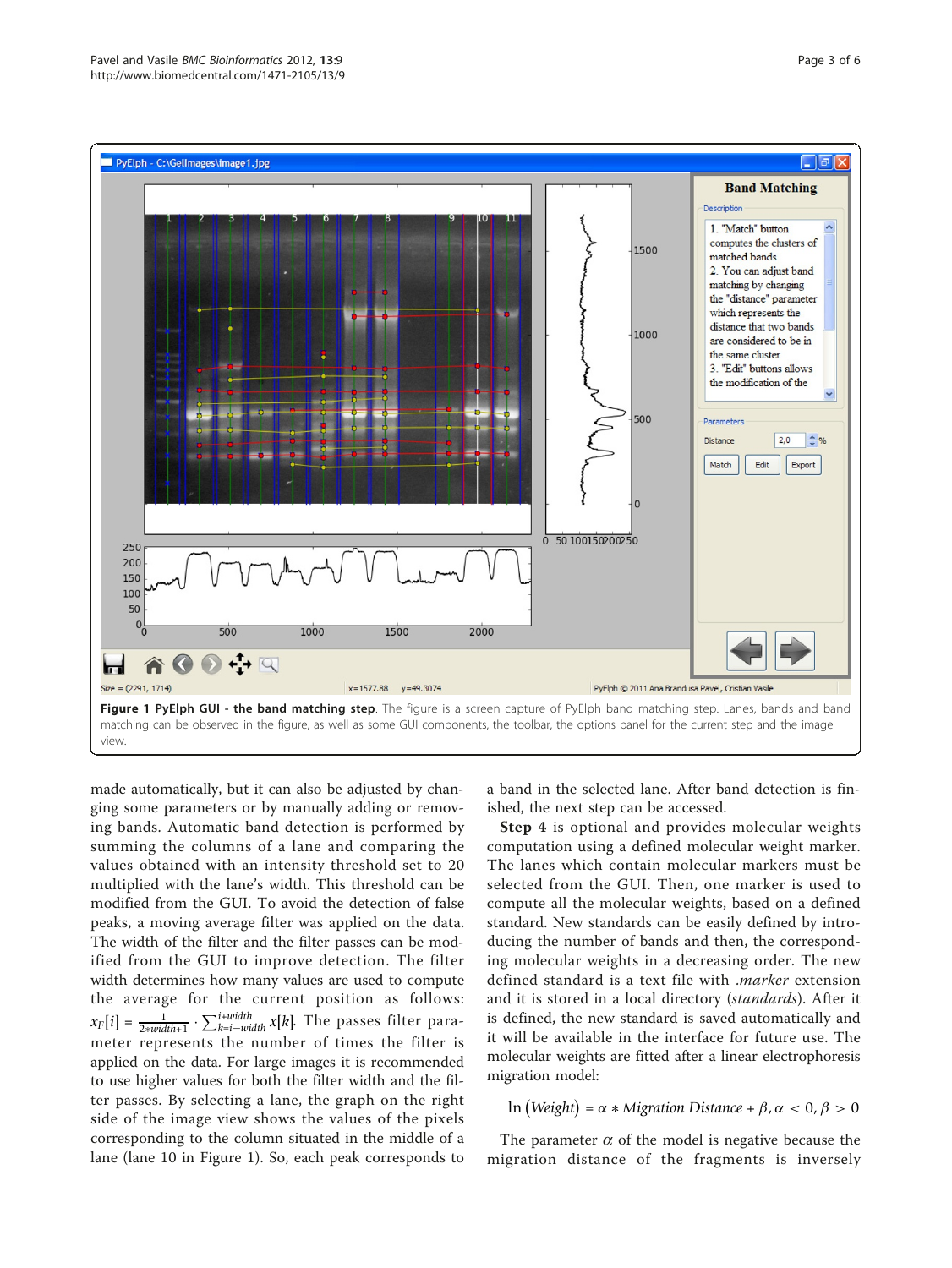<span id="page-2-0"></span>

made automatically, but it can also be adjusted by changing some parameters or by manually adding or removing bands. Automatic band detection is performed by summing the columns of a lane and comparing the values obtained with an intensity threshold set to 20 multiplied with the lane's width. This threshold can be modified from the GUI. To avoid the detection of false peaks, a moving average filter was applied on the data. The width of the filter and the filter passes can be modified from the GUI to improve detection. The filter width determines how many values are used to compute the average for the current position as follows:  $x_F[i] = \frac{1}{2 * width + 1} \cdot \sum_{k=i - width}^{i + width} x[k]$ . The passes filter parameter represents the number of times the filter is applied on the data. For large images it is recommended to use higher values for both the filter width and the filter passes. By selecting a lane, the graph on the right side of the image view shows the values of the pixels corresponding to the column situated in the middle of a lane (lane 10 in Figure 1). So, each peak corresponds to a band in the selected lane. After band detection is finished, the next step can be accessed.

Step 4 is optional and provides molecular weights computation using a defined molecular weight marker. The lanes which contain molecular markers must be selected from the GUI. Then, one marker is used to compute all the molecular weights, based on a defined standard. New standards can be easily defined by introducing the number of bands and then, the corresponding molecular weights in a decreasing order. The new defined standard is a text file with .marker extension and it is stored in a local directory (standards). After it is defined, the new standard is saved automatically and it will be available in the interface for future use. The molecular weights are fitted after a linear electrophoresis migration model:

## $\ln \left( Weight \right) = \alpha * Migration Distance + \beta, \alpha < 0, \beta > 0$

The parameter  $\alpha$  of the model is negative because the migration distance of the fragments is inversely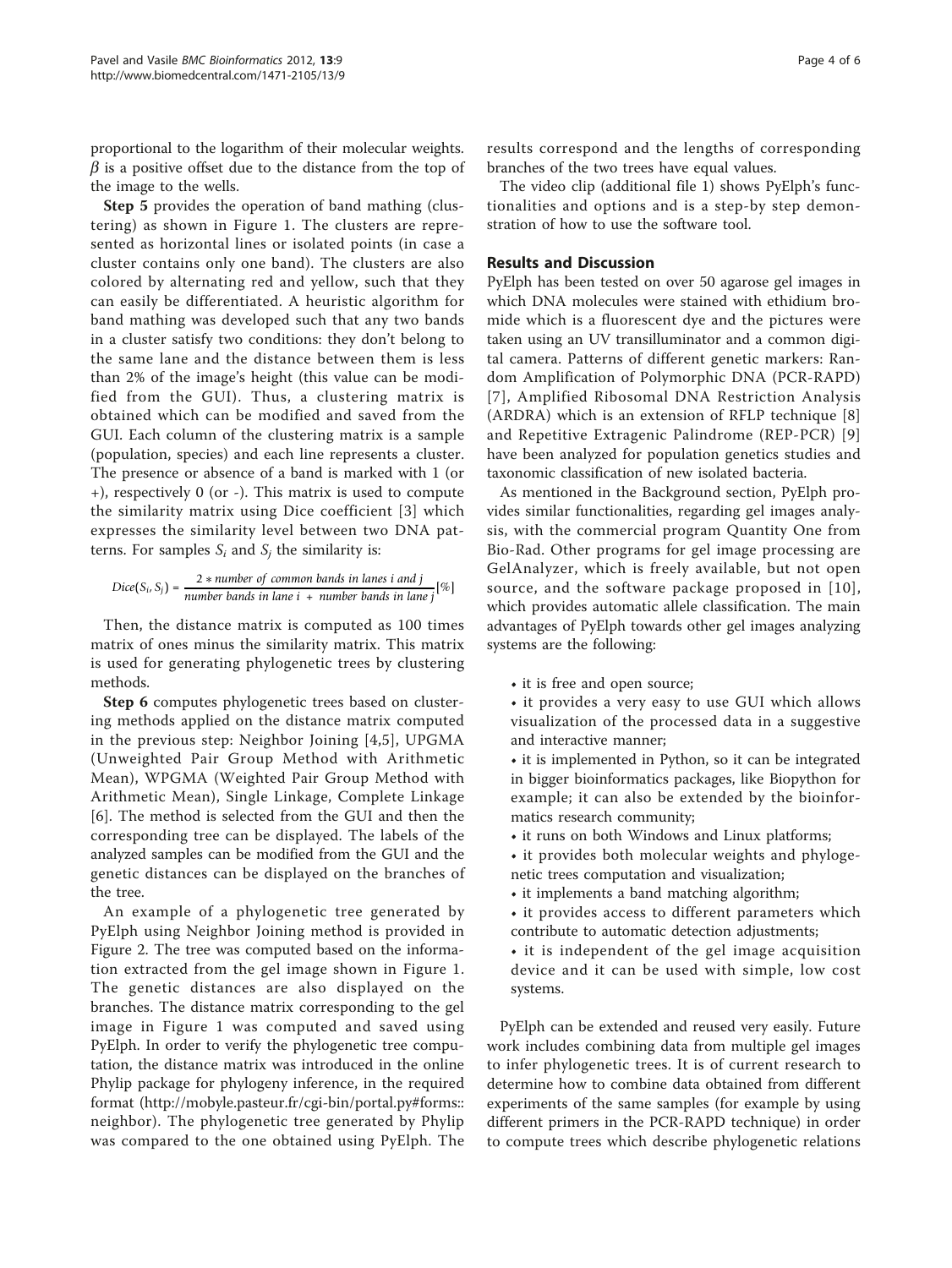proportional to the logarithm of their molecular weights.  $\beta$  is a positive offset due to the distance from the top of the image to the wells.

Step 5 provides the operation of band mathing (clustering) as shown in Figure [1.](#page-2-0) The clusters are represented as horizontal lines or isolated points (in case a cluster contains only one band). The clusters are also colored by alternating red and yellow, such that they can easily be differentiated. A heuristic algorithm for band mathing was developed such that any two bands in a cluster satisfy two conditions: they don't belong to the same lane and the distance between them is less than 2% of the image's height (this value can be modified from the GUI). Thus, a clustering matrix is obtained which can be modified and saved from the GUI. Each column of the clustering matrix is a sample (population, species) and each line represents a cluster. The presence or absence of a band is marked with 1 (or +), respectively 0 (or -). This matrix is used to compute the similarity matrix using Dice coefficient [[3\]](#page-5-0) which expresses the similarity level between two DNA patterns. For samples  $S_i$  and  $S_j$  the similarity is:

$$
Dice(S_i, S_j) = \frac{2 * number of common bands in lanes i and j}{number bands in lane i + number bands in lane j} [%]
$$

Then, the distance matrix is computed as 100 times matrix of ones minus the similarity matrix. This matrix is used for generating phylogenetic trees by clustering methods.

Step 6 computes phylogenetic trees based on clustering methods applied on the distance matrix computed in the previous step: Neighbor Joining [\[4,5](#page-5-0)], UPGMA (Unweighted Pair Group Method with Arithmetic Mean), WPGMA (Weighted Pair Group Method with Arithmetic Mean), Single Linkage, Complete Linkage [[6\]](#page-5-0). The method is selected from the GUI and then the corresponding tree can be displayed. The labels of the analyzed samples can be modified from the GUI and the genetic distances can be displayed on the branches of the tree.

An example of a phylogenetic tree generated by PyElph using Neighbor Joining method is provided in Figure [2.](#page-4-0) The tree was computed based on the information extracted from the gel image shown in Figure [1](#page-2-0). The genetic distances are also displayed on the branches. The distance matrix corresponding to the gel image in Figure [1](#page-2-0) was computed and saved using PyElph. In order to verify the phylogenetic tree computation, the distance matrix was introduced in the online Phylip package for phylogeny inference, in the required format [\(http://mobyle.pasteur.fr/cgi-bin/portal.py#forms::](http://mobyle.pasteur.fr/cgi-bin/portal.py#forms::neighbor) [neighbor](http://mobyle.pasteur.fr/cgi-bin/portal.py#forms::neighbor)). The phylogenetic tree generated by Phylip was compared to the one obtained using PyElph. The

results correspond and the lengths of corresponding branches of the two trees have equal values.

The video clip (additional file [1](#page-5-0)) shows PyElph's functionalities and options and is a step-by step demonstration of how to use the software tool.

#### Results and Discussion

PyElph has been tested on over 50 agarose gel images in which DNA molecules were stained with ethidium bromide which is a fluorescent dye and the pictures were taken using an UV transilluminator and a common digital camera. Patterns of different genetic markers: Random Amplification of Polymorphic DNA (PCR-RAPD) [[7\]](#page-5-0), Amplified Ribosomal DNA Restriction Analysis (ARDRA) which is an extension of RFLP technique [\[8](#page-5-0)] and Repetitive Extragenic Palindrome (REP-PCR) [[9](#page-5-0)] have been analyzed for population genetics studies and taxonomic classification of new isolated bacteria.

As mentioned in the Background section, PyElph provides similar functionalities, regarding gel images analysis, with the commercial program Quantity One from Bio-Rad. Other programs for gel image processing are GelAnalyzer, which is freely available, but not open source, and the software package proposed in [[10\]](#page-5-0), which provides automatic allele classification. The main advantages of PyElph towards other gel images analyzing systems are the following:

- it is free and open source;
- it provides a very easy to use GUI which allows visualization of the processed data in a suggestive and interactive manner;
- it is implemented in Python, so it can be integrated in bigger bioinformatics packages, like Biopython for example; it can also be extended by the bioinformatics research community;
- it runs on both Windows and Linux platforms;
- it provides both molecular weights and phylogenetic trees computation and visualization;
- it implements a band matching algorithm;
- it provides access to different parameters which contribute to automatic detection adjustments;
- it is independent of the gel image acquisition device and it can be used with simple, low cost systems.

PyElph can be extended and reused very easily. Future work includes combining data from multiple gel images to infer phylogenetic trees. It is of current research to determine how to combine data obtained from different experiments of the same samples (for example by using different primers in the PCR-RAPD technique) in order to compute trees which describe phylogenetic relations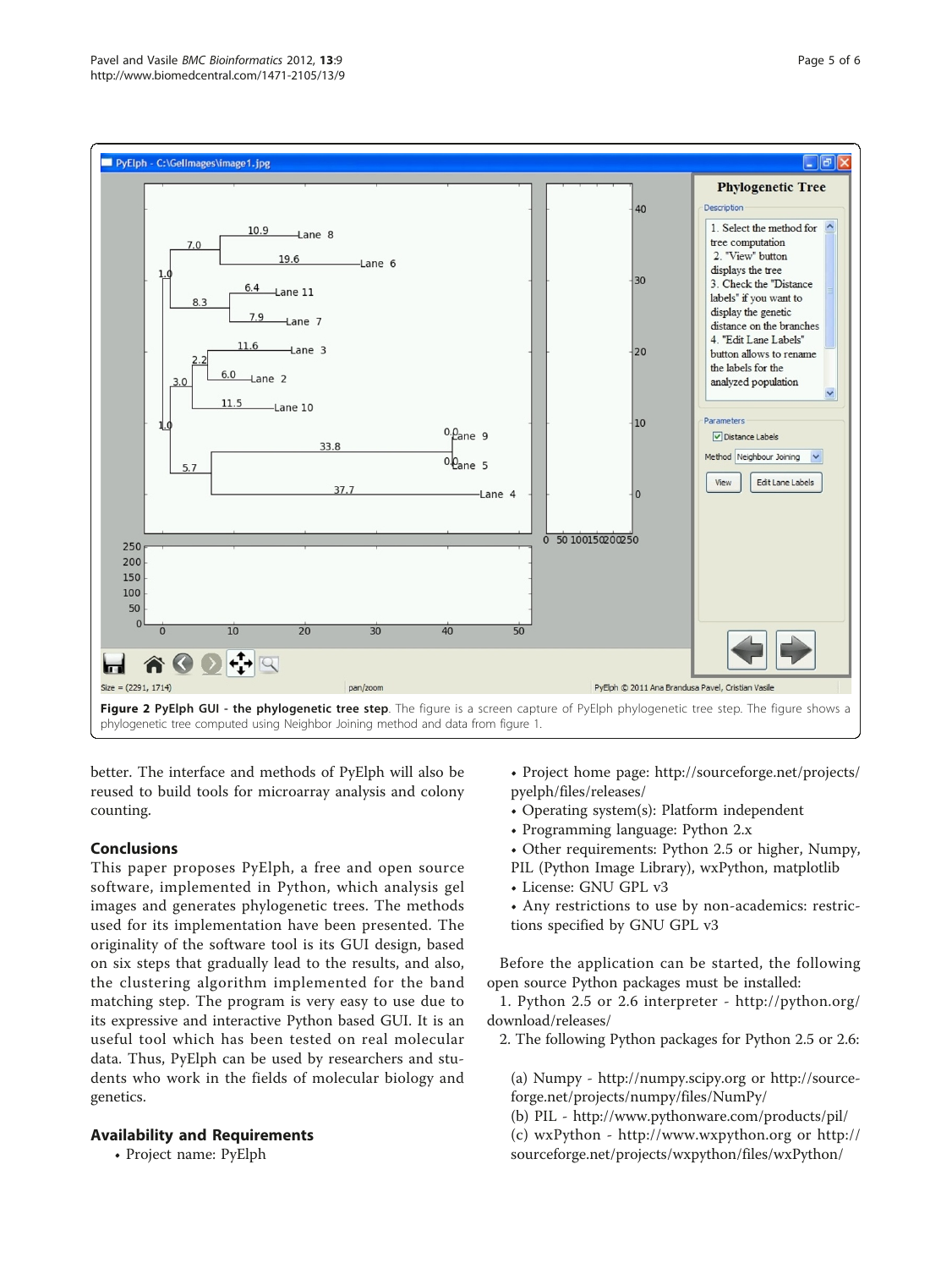<span id="page-4-0"></span>

better. The interface and methods of PyElph will also be reused to build tools for microarray analysis and colony counting.

## Conclusions

This paper proposes PyElph, a free and open source software, implemented in Python, which analysis gel images and generates phylogenetic trees. The methods used for its implementation have been presented. The originality of the software tool is its GUI design, based on six steps that gradually lead to the results, and also, the clustering algorithm implemented for the band matching step. The program is very easy to use due to its expressive and interactive Python based GUI. It is an useful tool which has been tested on real molecular data. Thus, PyElph can be used by researchers and students who work in the fields of molecular biology and genetics.

### Availability and Requirements

• Project name: PyElph

• Project home page: [http://sourceforge.net/projects/](http://sourceforge.net/projects/pyelph/files/releases/) [pyelph/files/releases/](http://sourceforge.net/projects/pyelph/files/releases/)

- Operating system(s): Platform independent
- Programming language: Python 2.x
- Other requirements: Python 2.5 or higher, Numpy,
- PIL (Python Image Library), wxPython, matplotlib
- License: GNU GPL v3
- Any restrictions to use by non-academics: restrictions specified by GNU GPL v3

Before the application can be started, the following open source Python packages must be installed:

1. Python 2.5 or 2.6 interpreter - [http://python.org/](http://python.org/download/releases/) [download/releases/](http://python.org/download/releases/)

2. The following Python packages for Python 2.5 or 2.6:

(a) Numpy -<http://numpy.scipy.org> or [http://source](http://sourceforge.net/projects/numpy/files/NumPy/)[forge.net/projects/numpy/files/NumPy/](http://sourceforge.net/projects/numpy/files/NumPy/)

(b) PIL -<http://www.pythonware.com/products/pil/> (c) wxPython -<http://www.wxpython.org> or [http://](http://sourceforge.net/projects/wxpython/files/wxPython/) [sourceforge.net/projects/wxpython/files/wxPython/](http://sourceforge.net/projects/wxpython/files/wxPython/)